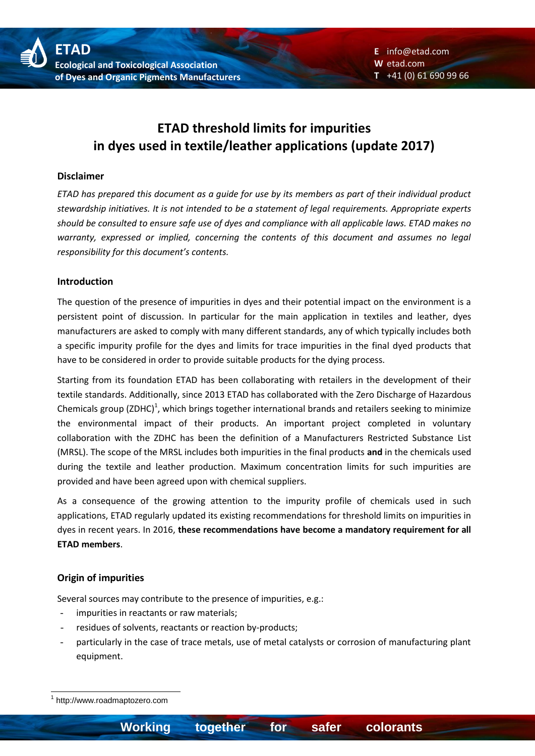# **ETAD threshold limits for impurities in dyes used in textile/leather applications (update 2017)**

### **Disclaimer**

*ETAD has prepared this document as a guide for use by its members as part of their individual product stewardship initiatives. It is not intended to be a statement of legal requirements. Appropriate experts should be consulted to ensure safe use of dyes and compliance with all applicable laws. ETAD makes no warranty, expressed or implied, concerning the contents of this document and assumes no legal responsibility for this document's contents.*

### **Introduction**

The question of the presence of impurities in dyes and their potential impact on the environment is a persistent point of discussion. In particular for the main application in textiles and leather, dyes manufacturers are asked to comply with many different standards, any of which typically includes both a specific impurity profile for the dyes and limits for trace impurities in the final dyed products that have to be considered in order to provide suitable products for the dying process.

Starting from its foundation ETAD has been collaborating with retailers in the development of their textile standards. Additionally, since 2013 ETAD has collaborated with the Zero Discharge of Hazardous Chemicals group (ZDHC)<sup>1</sup>, which brings together international brands and retailers seeking to minimize the environmental impact of their products. An important project completed in voluntary collaboration with the ZDHC has been the definition of a Manufacturers Restricted Substance List (MRSL). The scope of the MRSL includes both impurities in the final products **and** in the chemicals used during the textile and leather production. Maximum concentration limits for such impurities are provided and have been agreed upon with chemical suppliers.

As a consequence of the growing attention to the impurity profile of chemicals used in such applications, ETAD regularly updated its existing recommendations for threshold limits on impurities in dyes in recent years. In 2016, **these recommendations have become a mandatory requirement for all ETAD members**.

### **Origin of impurities**

Several sources may contribute to the presence of impurities, e.g.:

- impurities in reactants or raw materials;
- residues of solvents, reactants or reaction by-products;
- particularly in the case of trace metals, use of metal catalysts or corrosion of manufacturing plant equipment.

<sup>1</sup> 1 http://www.roadmaptozero.com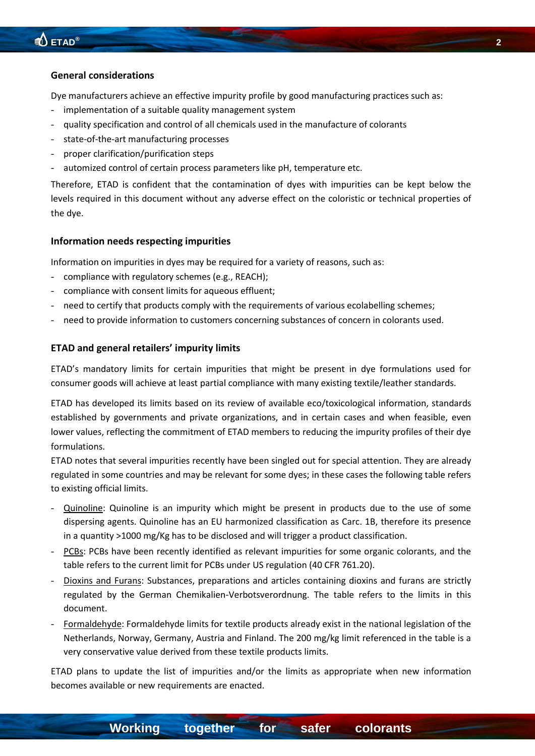#### **General considerations**

Dye manufacturers achieve an effective impurity profile by good manufacturing practices such as:

- implementation of a suitable quality management system
- quality specification and control of all chemicals used in the manufacture of colorants
- state-of-the-art manufacturing processes
- proper clarification/purification steps
- automized control of certain process parameters like pH, temperature etc.

Therefore, ETAD is confident that the contamination of dyes with impurities can be kept below the levels required in this document without any adverse effect on the coloristic or technical properties of the dye.

### **Information needs respecting impurities**

Information on impurities in dyes may be required for a variety of reasons, such as:

- compliance with regulatory schemes (e.g., REACH);
- compliance with consent limits for aqueous effluent;
- need to certify that products comply with the requirements of various ecolabelling schemes;
- need to provide information to customers concerning substances of concern in colorants used.

### **ETAD and general retailers' impurity limits**

ETAD's mandatory limits for certain impurities that might be present in dye formulations used for consumer goods will achieve at least partial compliance with many existing textile/leather standards.

ETAD has developed its limits based on its review of available eco/toxicological information, standards established by governments and private organizations, and in certain cases and when feasible, even lower values, reflecting the commitment of ETAD members to reducing the impurity profiles of their dye formulations.

ETAD notes that several impurities recently have been singled out for special attention. They are already regulated in some countries and may be relevant for some dyes; in these cases the following table refers to existing official limits.

- Quinoline: Quinoline is an impurity which might be present in products due to the use of some dispersing agents. Quinoline has an EU harmonized classification as Carc. 1B, therefore its presence in a quantity >1000 mg/Kg has to be disclosed and will trigger a product classification.
- PCBs: PCBs have been recently identified as relevant impurities for some organic colorants, and the table refers to the current limit for PCBs under US regulation (40 CFR 761.20).
- Dioxins and Furans: Substances, preparations and articles containing dioxins and furans are strictly regulated by the German Chemikalien-Verbotsverordnung. The table refers to the limits in this document.
- Formaldehyde: Formaldehyde limits for textile products already exist in the national legislation of the Netherlands, Norway, Germany, Austria and Finland. The 200 mg/kg limit referenced in the table is a very conservative value derived from these textile products limits.

ETAD plans to update the list of impurities and/or the limits as appropriate when new information becomes available or new requirements are enacted.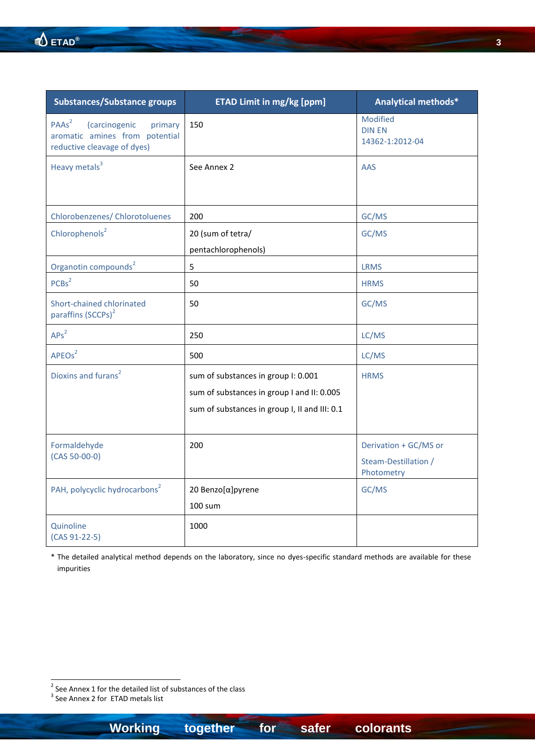| <b>Substances/Substance groups</b>                                                                                    | <b>ETAD Limit in mg/kg [ppm]</b>                                                                                                   | Analytical methods*                                         |
|-----------------------------------------------------------------------------------------------------------------------|------------------------------------------------------------------------------------------------------------------------------------|-------------------------------------------------------------|
| PAAs <sup>2</sup><br><i>(carcinogenic</i><br>primary<br>aromatic amines from potential<br>reductive cleavage of dyes) | 150                                                                                                                                | Modified<br><b>DIN EN</b><br>14362-1:2012-04                |
| Heavy metals <sup>3</sup>                                                                                             | See Annex 2                                                                                                                        | <b>AAS</b>                                                  |
| Chlorobenzenes/ Chlorotoluenes                                                                                        | 200                                                                                                                                | GC/MS                                                       |
| Chlorophenols <sup>2</sup>                                                                                            | 20 (sum of tetra/<br>pentachlorophenols)                                                                                           | GC/MS                                                       |
| Organotin compounds <sup>2</sup>                                                                                      | 5                                                                                                                                  | <b>LRMS</b>                                                 |
| PCBs <sup>2</sup>                                                                                                     | 50                                                                                                                                 | <b>HRMS</b>                                                 |
| Short-chained chlorinated<br>paraffins (SCCPs) <sup>2</sup>                                                           | 50                                                                                                                                 | GC/MS                                                       |
| APs <sup>2</sup>                                                                                                      | 250                                                                                                                                | LC/MS                                                       |
| APEO <sub>s</sub> <sup>2</sup>                                                                                        | 500                                                                                                                                | LC/MS                                                       |
| Dioxins and furans <sup>2</sup>                                                                                       | sum of substances in group I: 0.001<br>sum of substances in group I and II: 0.005<br>sum of substances in group I, II and III: 0.1 | <b>HRMS</b>                                                 |
| Formaldehyde<br>$(CAS 50-00-0)$                                                                                       | 200                                                                                                                                | Derivation + GC/MS or<br>Steam-Destillation /<br>Photometry |
| PAH, polycyclic hydrocarbons <sup>2</sup>                                                                             | 20 Benzo[α]pyrene<br><b>100 sum</b>                                                                                                | GC/MS                                                       |
| Quinoline<br>$(CAS 91-22-5)$                                                                                          | 1000                                                                                                                               |                                                             |

\* The detailed analytical method depends on the laboratory, since no dyes-specific standard methods are available for these impurities

**Example 2**<br>
<sup>2</sup> See Annex 1 for the detailed list of substances of the class<br>
<sup>3</sup> See Annex 2 for ETAD metals list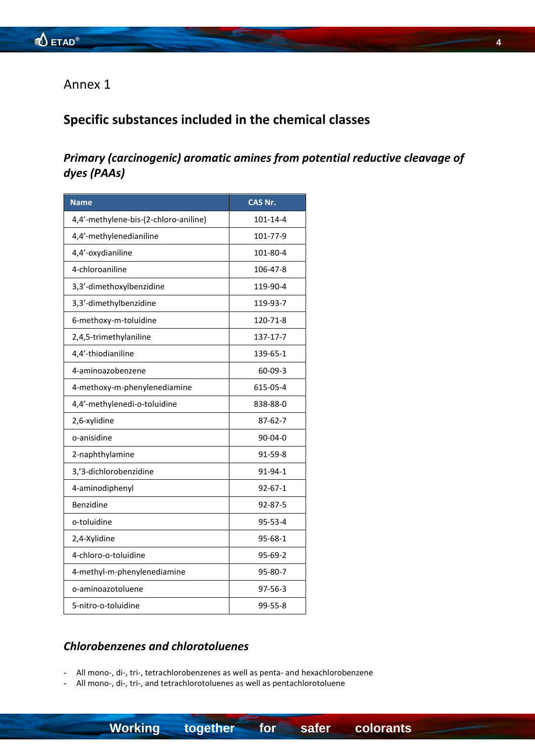### Annex 1

## **Specific substances included in the chemical classes**

### *Primary (carcinogenic) aromatic amines from potential reductive cleavage of dyes (PAAs)*

| <b>Name</b>                           | <b>CAS Nr.</b> |
|---------------------------------------|----------------|
| 4,4'-methylene-bis-(2-chloro-aniline) | 101-14-4       |
| 4,4'-methylenedianiline               | 101-77-9       |
| 4,4'-oxydianiline                     | 101-80-4       |
| 4-chloroaniline                       | 106-47-8       |
| 3,3'-dimethoxylbenzidine              | 119-90-4       |
| 3,3'-dimethylbenzidine                | 119-93-7       |
| 6-methoxy-m-toluidine                 | 120-71-8       |
| 2,4,5-trimethylaniline                | 137-17-7       |
| 4,4'-thiodianiline                    | 139-65-1       |
| 4-aminoazobenzene                     | $60 - 09 - 3$  |
| 4-methoxy-m-phenylenediamine          | 615-05-4       |
| 4,4'-methylenedi-o-toluidine          | 838-88-0       |
| 2,6-xylidine                          | 87-62-7        |
| o-anisidine                           | 90-04-0        |
| 2-naphthylamine                       | 91-59-8        |
| 3,'3-dichlorobenzidine                | 91-94-1        |
| 4-aminodiphenyl                       | $92 - 67 - 1$  |
| Benzidine                             | 92-87-5        |
| o-toluidine                           | 95-53-4        |
| 2,4-Xylidine                          | $95 - 68 - 1$  |
| 4-chloro-o-toluidine                  | 95-69-2        |
| 4-methyl-m-phenylenediamine           | 95-80-7        |
| o-aminoazotoluene                     | 97-56-3        |
| 5-nitro-o-toluidine                   | 99-55-8        |

### *Chlorobenzenes and chlorotoluenes*

- All mono-, di-, tri-, tetrachlorobenzenes as well as penta- and hexachlorobenzene

All mono-, di-, tri-, and tetrachlorotoluenes as well as pentachlorotoluene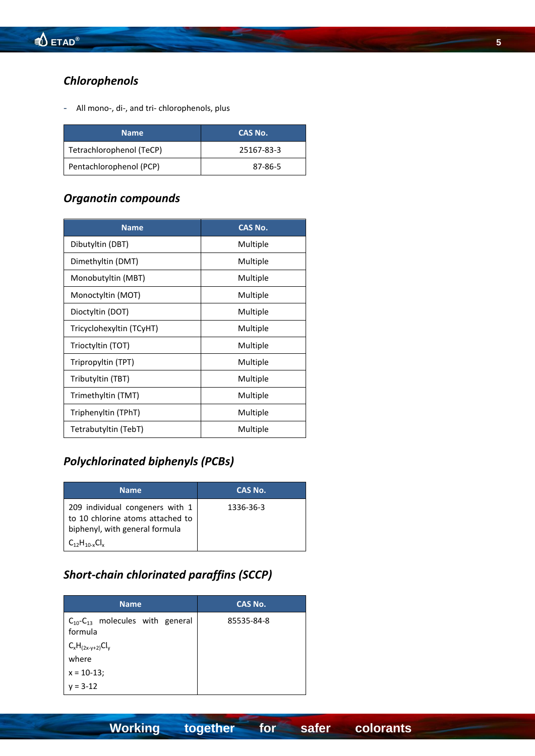## *Chlorophenols*

All mono-, di-, and tri- chlorophenols, plus

| <b>Name</b>              | CAS No.    |
|--------------------------|------------|
| Tetrachlorophenol (TeCP) | 25167-83-3 |
| Pentachlorophenol (PCP)  | 87-86-5    |

### *Organotin compounds*

| <b>Name</b>              | <b>CAS No.</b> |
|--------------------------|----------------|
| Dibutyltin (DBT)         | Multiple       |
| Dimethyltin (DMT)        | Multiple       |
| Monobutyltin (MBT)       | Multiple       |
| Monoctyltin (MOT)        | Multiple       |
| Dioctyltin (DOT)         | Multiple       |
| Tricyclohexyltin (TCyHT) | Multiple       |
| Trioctyltin (TOT)        | Multiple       |
| Tripropyltin (TPT)       | Multiple       |
| Tributyltin (TBT)        | Multiple       |
| Trimethyltin (TMT)       | Multiple       |
| Triphenyltin (TPhT)      | Multiple       |
| Tetrabutyltin (TebT)     | Multiple       |

# *Polychlorinated biphenyls (PCBs)*

| <b>Name</b>                                                                                                                     | CAS No.   |
|---------------------------------------------------------------------------------------------------------------------------------|-----------|
| 209 individual congeners with 1<br>to 10 chlorine atoms attached to<br>biphenyl, with general formula<br>$C_{12}H_{10-x}Cl_{x}$ | 1336-36-3 |

## *Short-chain chlorinated paraffins (SCCP)*

| <b>Name</b>                                           | <b>CAS No.</b> |
|-------------------------------------------------------|----------------|
| $C_{10}$ - $C_{13}$ molecules with general<br>formula | 85535-84-8     |
| $C_xH_{(2x-y+2)}Cl_y$<br>where                        |                |
| $x = 10-13$ ;                                         |                |
| $v = 3-12$                                            |                |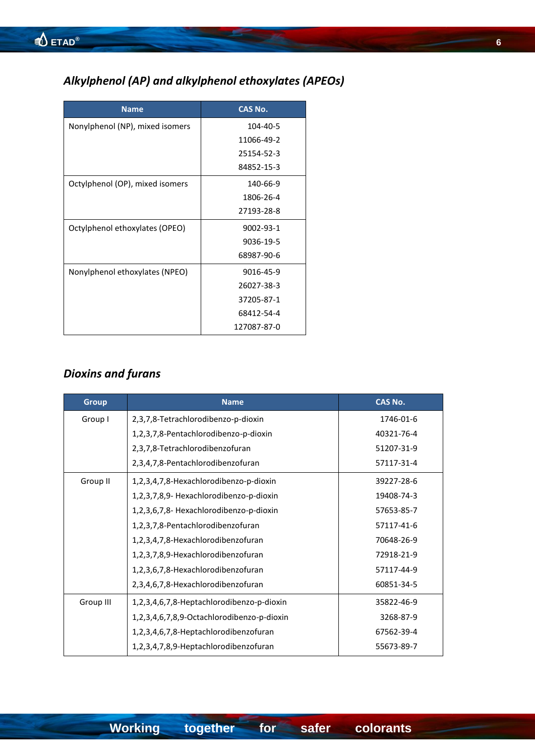# *Alkylphenol (AP) and alkylphenol ethoxylates (APEOs)*

| <b>Name</b>                     | <b>CAS No.</b> |
|---------------------------------|----------------|
| Nonylphenol (NP), mixed isomers | 104-40-5       |
|                                 | 11066-49-2     |
|                                 | 25154-52-3     |
|                                 | 84852-15-3     |
| Octylphenol (OP), mixed isomers | 140-66-9       |
|                                 | 1806-26-4      |
|                                 | 27193-28-8     |
| Octylphenol ethoxylates (OPEO)  | 9002-93-1      |
|                                 | 9036-19-5      |
|                                 | 68987-90-6     |
| Nonylphenol ethoxylates (NPEO)  | 9016-45-9      |
|                                 | 26027-38-3     |
|                                 | 37205-87-1     |
|                                 | 68412-54-4     |
|                                 | 127087-87-0    |

# *Dioxins and furans*

| <b>Group</b> | <b>Name</b>                                | <b>CAS No.</b> |
|--------------|--------------------------------------------|----------------|
| Group I      | 2,3,7,8-Tetrachlorodibenzo-p-dioxin        | 1746-01-6      |
|              | 1,2,3,7,8-Pentachlorodibenzo-p-dioxin      | 40321-76-4     |
|              | 2,3,7,8-Tetrachlorodibenzofuran            | 51207-31-9     |
|              | 2,3,4,7,8-Pentachlorodibenzofuran          | 57117-31-4     |
| Group II     | 1,2,3,4,7,8-Hexachlorodibenzo-p-dioxin     | 39227-28-6     |
|              | 1,2,3,7,8,9- Hexachlorodibenzo-p-dioxin    | 19408-74-3     |
|              | 1,2,3,6,7,8- Hexachlorodibenzo-p-dioxin    | 57653-85-7     |
|              | 1,2,3,7,8-Pentachlorodibenzofuran          | 57117-41-6     |
|              | 1,2,3,4,7,8-Hexachlorodibenzofuran         | 70648-26-9     |
|              | 1,2,3,7,8,9-Hexachlorodibenzofuran         | 72918-21-9     |
|              | 1,2,3,6,7,8-Hexachlorodibenzofuran         | 57117-44-9     |
|              | 2,3,4,6,7,8-Hexachlorodibenzofuran         | 60851-34-5     |
| Group III    | 1,2,3,4,6,7,8-Heptachlorodibenzo-p-dioxin  | 35822-46-9     |
|              | 1,2,3,4,6,7,8,9-Octachlorodibenzo-p-dioxin | 3268-87-9      |
|              | 1,2,3,4,6,7,8-Heptachlorodibenzofuran      | 67562-39-4     |
|              | 1,2,3,4,7,8,9-Heptachlorodibenzofuran      | 55673-89-7     |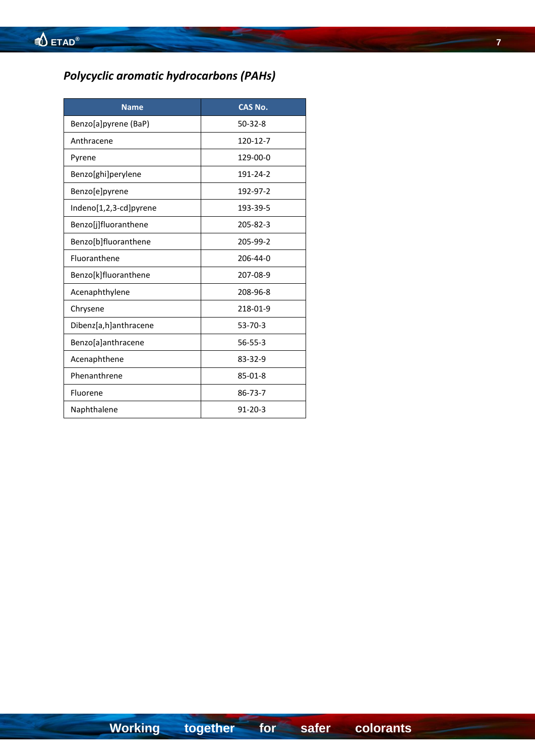# *Polycyclic aromatic hydrocarbons (PAHs)*

| <b>Name</b>            | <b>CAS No.</b> |
|------------------------|----------------|
| Benzo[a]pyrene (BaP)   | $50-32-8$      |
| Anthracene             | 120-12-7       |
| Pyrene                 | 129-00-0       |
| Benzo[ghi]perylene     | 191-24-2       |
| Benzo[e]pyrene         | 192-97-2       |
| Indeno[1,2,3-cd]pyrene | 193-39-5       |
| Benzo[j]fluoranthene   | 205-82-3       |
| Benzo[b]fluoranthene   | 205-99-2       |
| Fluoranthene           | 206-44-0       |
| Benzo[k]fluoranthene   | 207-08-9       |
| Acenaphthylene         | 208-96-8       |
| Chrysene               | 218-01-9       |
| Dibenz[a,h]anthracene  | $53 - 70 - 3$  |
| Benzo[a]anthracene     | $56 - 55 - 3$  |
| Acenaphthene           | 83-32-9        |
| Phenanthrene           | 85-01-8        |
| Fluorene               | 86-73-7        |
| Naphthalene            | $91 - 20 - 3$  |